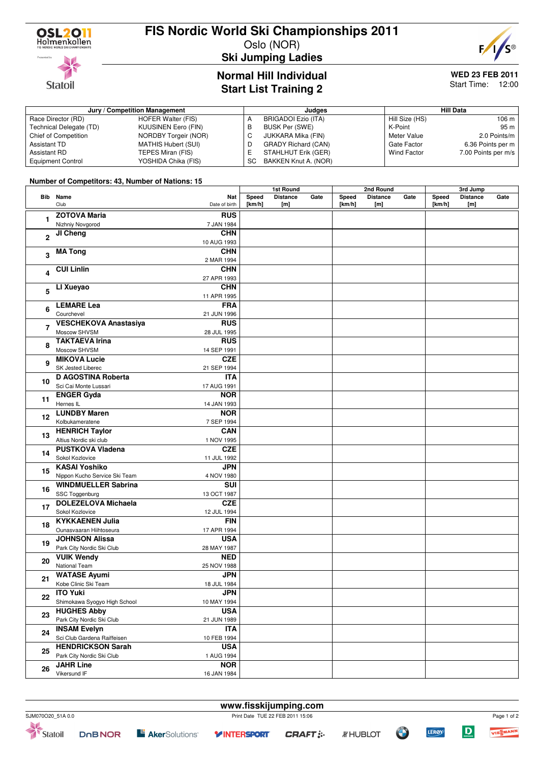

**Statoil** 

### **FIS Nordic World Ski Championships 2011**

Oslo (NOR)



**Ski Jumping Ladies**

### **Normal Hill Individual Start List Training 2**

## **WED 23 FEB 2011**

Start Time: 12:00

| Jury / Competition Management |                             |     | Judges                     | <b>Hill Data</b> |                     |  |
|-------------------------------|-----------------------------|-----|----------------------------|------------------|---------------------|--|
| Race Director (RD)            | HOFER Walter (FIS)          |     | BRIGADOI Ezio (ITA)        | Hill Size (HS)   | 106 m l             |  |
| Technical Delegate (TD)       | <b>KUUSINEN Eero (FIN)</b>  | в   | BUSK Per (SWE)             | K-Point          | 95 m                |  |
| Chief of Competition          | <b>NORDBY Torgeir (NOR)</b> |     | JUKKARA Mika (FIN)         | Meter Value      | 2.0 Points/m        |  |
| Assistant TD                  | <b>MATHIS Hubert (SUI)</b>  |     | <b>GRADY Richard (CAN)</b> | Gate Factor      | 6.36 Points per m   |  |
| Assistant RD                  | TEPES Miran (FIS)           |     | STAHLHUT Erik (GER)        | Wind Factor      | 7.00 Points per m/s |  |
| <b>Equipment Control</b>      | YOSHIDA Chika (FIS)         | SC. | BAKKEN Knut A. (NOR)       |                  |                     |  |

#### **Number of Competitors: 43, Number of Nations: 15**

|                         |                               |               | 1st Round |                 | 2nd Round |        |                 | 3rd Jump |        |                 |      |
|-------------------------|-------------------------------|---------------|-----------|-----------------|-----------|--------|-----------------|----------|--------|-----------------|------|
|                         | <b>Bib</b> Name               | Nat           | Speed     | <b>Distance</b> | Gate      | Speed  | <b>Distance</b> | Gate     | Speed  | <b>Distance</b> | Gate |
|                         | Club                          | Date of birth | [km/h]    | [m]             |           | [km/h] | [m]             |          | [km/h] | [m]             |      |
|                         | <b>ZOTOVA Maria</b>           | <b>RUS</b>    |           |                 |           |        |                 |          |        |                 |      |
| 1                       | Nizhniy Novgorod              |               |           |                 |           |        |                 |          |        |                 |      |
|                         |                               | 7 JAN 1984    |           |                 |           |        |                 |          |        |                 |      |
| $\overline{2}$          | JI Cheng                      | <b>CHN</b>    |           |                 |           |        |                 |          |        |                 |      |
|                         |                               | 10 AUG 1993   |           |                 |           |        |                 |          |        |                 |      |
| 3                       | <b>MA Tong</b>                | <b>CHN</b>    |           |                 |           |        |                 |          |        |                 |      |
|                         |                               | 2 MAR 1994    |           |                 |           |        |                 |          |        |                 |      |
| $\overline{\mathbf{4}}$ | <b>CUI Linlin</b>             | <b>CHN</b>    |           |                 |           |        |                 |          |        |                 |      |
|                         |                               | 27 APR 1993   |           |                 |           |        |                 |          |        |                 |      |
| 5                       | LI Xueyao                     | <b>CHN</b>    |           |                 |           |        |                 |          |        |                 |      |
|                         |                               |               |           |                 |           |        |                 |          |        |                 |      |
|                         |                               | 11 APR 1995   |           |                 |           |        |                 |          |        |                 |      |
| 6                       | <b>LEMARE Lea</b>             | <b>FRA</b>    |           |                 |           |        |                 |          |        |                 |      |
|                         | Courchevel                    | 21 JUN 1996   |           |                 |           |        |                 |          |        |                 |      |
| $\overline{7}$          | <b>VESCHEKOVA Anastasiya</b>  | <b>RUS</b>    |           |                 |           |        |                 |          |        |                 |      |
|                         | Moscow SHVSM                  | 28 JUL 1995   |           |                 |           |        |                 |          |        |                 |      |
|                         | <b>TAKTAEVA Irina</b>         | <b>RUS</b>    |           |                 |           |        |                 |          |        |                 |      |
| 8                       | Moscow SHVSM                  | 14 SEP 1991   |           |                 |           |        |                 |          |        |                 |      |
|                         | <b>MIKOVA Lucie</b>           | <b>CZE</b>    |           |                 |           |        |                 |          |        |                 |      |
| 9                       | SK Jested Liberec             | 21 SEP 1994   |           |                 |           |        |                 |          |        |                 |      |
|                         | <b>D AGOSTINA Roberta</b>     | <b>ITA</b>    |           |                 |           |        |                 |          |        |                 |      |
| 10                      |                               |               |           |                 |           |        |                 |          |        |                 |      |
|                         | Sci Cai Monte Lussari         | 17 AUG 1991   |           |                 |           |        |                 |          |        |                 |      |
| 11                      | <b>ENGER Gyda</b>             | <b>NOR</b>    |           |                 |           |        |                 |          |        |                 |      |
| 12                      | Hernes IL                     | 14 JAN 1993   |           |                 |           |        |                 |          |        |                 |      |
|                         | <b>LUNDBY Maren</b>           | <b>NOR</b>    |           |                 |           |        |                 |          |        |                 |      |
|                         | Kolbukameratene               | 7 SEP 1994    |           |                 |           |        |                 |          |        |                 |      |
|                         | <b>HENRICH Taylor</b>         | <b>CAN</b>    |           |                 |           |        |                 |          |        |                 |      |
| 13                      | Altius Nordic ski club        | 1 NOV 1995    |           |                 |           |        |                 |          |        |                 |      |
|                         | <b>PUSTKOVA Vladena</b>       | <b>CZE</b>    |           |                 |           |        |                 |          |        |                 |      |
| 14                      | Sokol Kozlovice               | 11 JUL 1992   |           |                 |           |        |                 |          |        |                 |      |
|                         | <b>KASAI Yoshiko</b>          | <b>JPN</b>    |           |                 |           |        |                 |          |        |                 |      |
| 15                      | Nippon Kucho Service Ski Team |               |           |                 |           |        |                 |          |        |                 |      |
|                         |                               | 4 NOV 1980    |           |                 |           |        |                 |          |        |                 |      |
| 16                      | <b>WINDMUELLER Sabrina</b>    | <b>SUI</b>    |           |                 |           |        |                 |          |        |                 |      |
|                         | SSC Toggenburg                | 13 OCT 1987   |           |                 |           |        |                 |          |        |                 |      |
| 17                      | <b>DOLEZELOVA Michaela</b>    | <b>CZE</b>    |           |                 |           |        |                 |          |        |                 |      |
|                         | Sokol Kozlovice               | 12 JUL 1994   |           |                 |           |        |                 |          |        |                 |      |
|                         | <b>KYKKAENEN Julia</b>        | <b>FIN</b>    |           |                 |           |        |                 |          |        |                 |      |
| 18                      | Ounasvaaran Hiihtoseura       | 17 APR 1994   |           |                 |           |        |                 |          |        |                 |      |
|                         | <b>JOHNSON Alissa</b>         | <b>USA</b>    |           |                 |           |        |                 |          |        |                 |      |
| 19                      | Park City Nordic Ski Club     | 28 MAY 1987   |           |                 |           |        |                 |          |        |                 |      |
|                         | <b>VUIK Wendy</b>             | <b>NED</b>    |           |                 |           |        |                 |          |        |                 |      |
| 20                      | National Team                 |               |           |                 |           |        |                 |          |        |                 |      |
|                         |                               | 25 NOV 1988   |           |                 |           |        |                 |          |        |                 |      |
| 21                      | <b>WATASE Ayumi</b>           | JPN           |           |                 |           |        |                 |          |        |                 |      |
|                         | Kobe Clinic Ski Team          | 18 JUL 1984   |           |                 |           |        |                 |          |        |                 |      |
| 22                      | <b>ITO Yuki</b>               | <b>JPN</b>    |           |                 |           |        |                 |          |        |                 |      |
|                         | Shimokawa Syogyo High School  | 10 MAY 1994   |           |                 |           |        |                 |          |        |                 |      |
| 23                      | <b>HUGHES Abby</b>            | <b>USA</b>    |           |                 |           |        |                 |          |        |                 |      |
|                         | Park City Nordic Ski Club     | 21 JUN 1989   |           |                 |           |        |                 |          |        |                 |      |
|                         | <b>INSAM Evelyn</b>           | <b>ITA</b>    |           |                 |           |        |                 |          |        |                 |      |
| 24                      |                               |               |           |                 |           |        |                 |          |        |                 |      |
|                         | Sci Club Gardena Raiffeisen   | 10 FEB 1994   |           |                 |           |        |                 |          |        |                 |      |
| 25                      | <b>HENDRICKSON Sarah</b>      | <b>USA</b>    |           |                 |           |        |                 |          |        |                 |      |
|                         | Park City Nordic Ski Club     | 1 AUG 1994    |           |                 |           |        |                 |          |        |                 |      |
| 26                      | <b>JAHR Line</b>              | <b>NOR</b>    |           |                 |           |        |                 |          |        |                 |      |
|                         | Vikersund IF                  | 16 JAN 1984   |           |                 |           |        |                 |          |        |                 |      |



**www.fisskijumping.com**

LEROY



Page 1 of 2